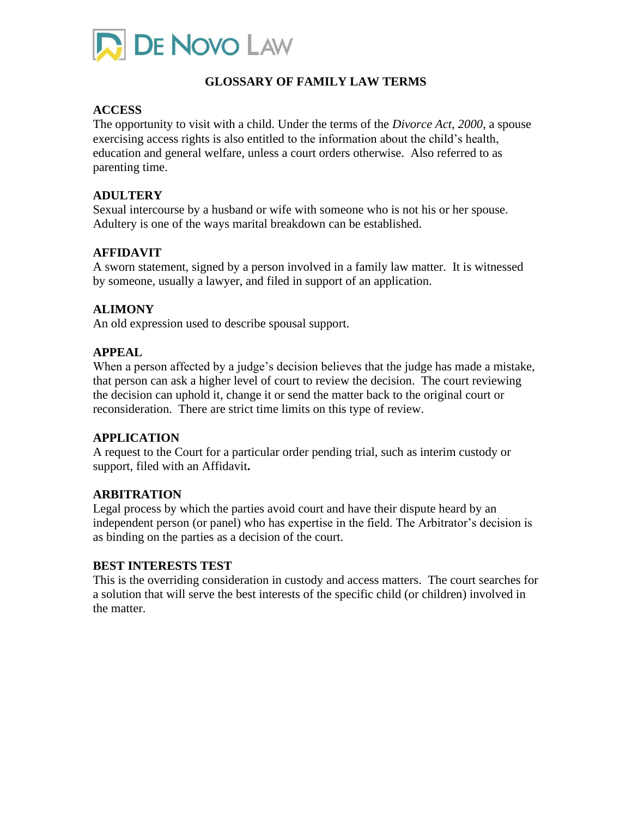

## **GLOSSARY OF FAMILY LAW TERMS**

### **ACCESS**

The opportunity to visit with a child. Under the terms of the *Divorce Act, 2000*, a spouse exercising access rights is also entitled to the information about the child's health, education and general welfare, unless a court orders otherwise. Also referred to as parenting time.

### **ADULTERY**

Sexual intercourse by a husband or wife with someone who is not his or her spouse. Adultery is one of the ways marital breakdown can be established.

### **AFFIDAVIT**

A sworn statement, signed by a person involved in a family law matter. It is witnessed by someone, usually a lawyer, and filed in support of an application.

### **ALIMONY**

An old expression used to describe spousal support.

### **APPEAL**

When a person affected by a judge's decision believes that the judge has made a mistake, that person can ask a higher level of court to review the decision. The court reviewing the decision can uphold it, change it or send the matter back to the original court or reconsideration. There are strict time limits on this type of review.

### **APPLICATION**

A request to the Court for a particular order pending trial, such as interim custody or support, filed with an Affidavit**.**

### **ARBITRATION**

Legal process by which the parties avoid court and have their dispute heard by an independent person (or panel) who has expertise in the field. The Arbitrator's decision is as binding on the parties as a decision of the court.

### **BEST INTERESTS TEST**

This is the overriding consideration in custody and access matters. The court searches for a solution that will serve the best interests of the specific child (or children) involved in the matter.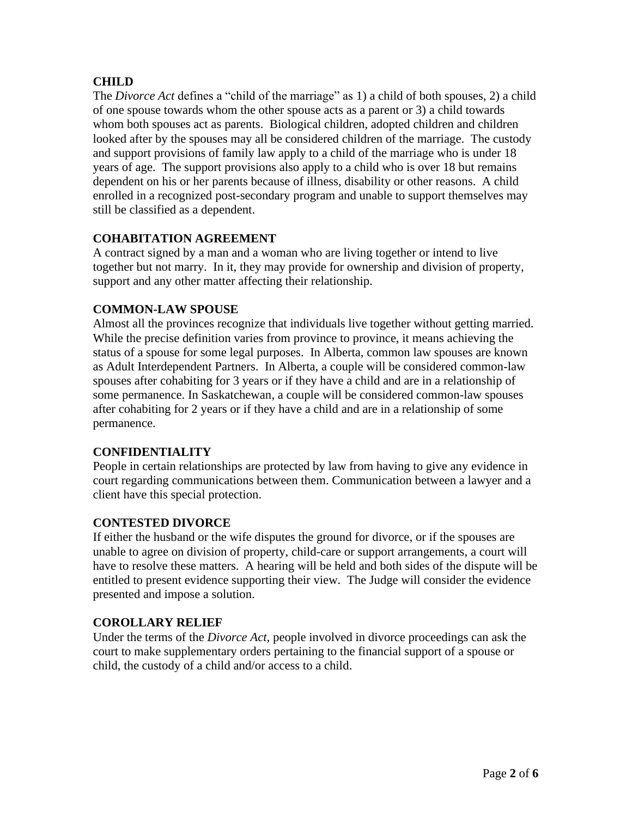# **CHILD**

The *Divorce Act* defines a "child of the marriage" as 1) a child of both spouses, 2) a child of one spouse towards whom the other spouse acts as a parent or 3) a child towards whom both spouses act as parents. Biological children, adopted children and children looked after by the spouses may all be considered children of the marriage. The custody and support provisions of family law apply to a child of the marriage who is under 18 years of age. The support provisions also apply to a child who is over 18 but remains dependent on his or her parents because of illness, disability or other reasons. A child enrolled in a recognized post-secondary program and unable to support themselves may still be classified as a dependent.

# **COHABITATION AGREEMENT**

A contract signed by a man and a woman who are living together or intend to live together but not marry. In it, they may provide for ownership and division of property, support and any other matter affecting their relationship.

## **COMMON-LAW SPOUSE**

Almost all the provinces recognize that individuals live together without getting married. While the precise definition varies from province to province, it means achieving the status of a spouse for some legal purposes. In Alberta, common law spouses are known as Adult Interdependent Partners. In Alberta, a couple will be considered common-law spouses after cohabiting for 3 years or if they have a child and are in a relationship of some permanence. In Saskatchewan, a couple will be considered common-law spouses after cohabiting for 2 years or if they have a child and are in a relationship of some permanence.

## **CONFIDENTIALITY**

People in certain relationships are protected by law from having to give any evidence in court regarding communications between them. Communication between a lawyer and a client have this special protection.

## **CONTESTED DIVORCE**

If either the husband or the wife disputes the ground for divorce, or if the spouses are unable to agree on division of property, child-care or support arrangements, a court will have to resolve these matters. A hearing will be held and both sides of the dispute will be entitled to present evidence supporting their view. The Judge will consider the evidence presented and impose a solution.

## **COROLLARY RELIEF**

Under the terms of the *Divorce Act,* people involved in divorce proceedings can ask the court to make supplementary orders pertaining to the financial support of a spouse or child, the custody of a child and/or access to a child.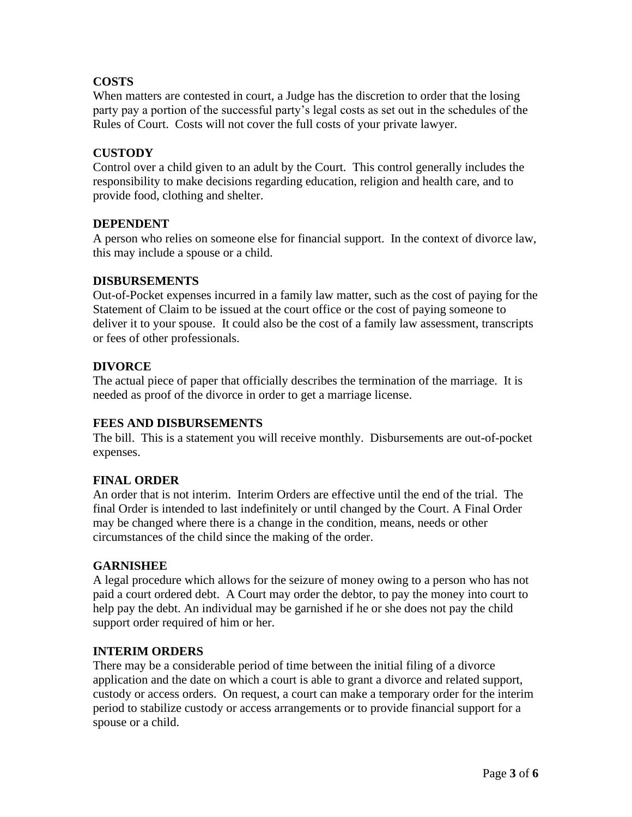# **COSTS**

When matters are contested in court, a Judge has the discretion to order that the losing party pay a portion of the successful party's legal costs as set out in the schedules of the Rules of Court. Costs will not cover the full costs of your private lawyer.

## **CUSTODY**

Control over a child given to an adult by the Court. This control generally includes the responsibility to make decisions regarding education, religion and health care, and to provide food, clothing and shelter.

### **DEPENDENT**

A person who relies on someone else for financial support. In the context of divorce law, this may include a spouse or a child.

### **DISBURSEMENTS**

Out-of-Pocket expenses incurred in a family law matter, such as the cost of paying for the Statement of Claim to be issued at the court office or the cost of paying someone to deliver it to your spouse. It could also be the cost of a family law assessment, transcripts or fees of other professionals.

### **DIVORCE**

The actual piece of paper that officially describes the termination of the marriage. It is needed as proof of the divorce in order to get a marriage license.

## **FEES AND DISBURSEMENTS**

The bill. This is a statement you will receive monthly. Disbursements are out-of-pocket expenses.

### **FINAL ORDER**

An order that is not interim. Interim Orders are effective until the end of the trial. The final Order is intended to last indefinitely or until changed by the Court. A Final Order may be changed where there is a change in the condition, means, needs or other circumstances of the child since the making of the order.

### **GARNISHEE**

A legal procedure which allows for the seizure of money owing to a person who has not paid a court ordered debt. A Court may order the debtor, to pay the money into court to help pay the debt. An individual may be garnished if he or she does not pay the child support order required of him or her.

### **INTERIM ORDERS**

There may be a considerable period of time between the initial filing of a divorce application and the date on which a court is able to grant a divorce and related support, custody or access orders. On request, a court can make a temporary order for the interim period to stabilize custody or access arrangements or to provide financial support for a spouse or a child.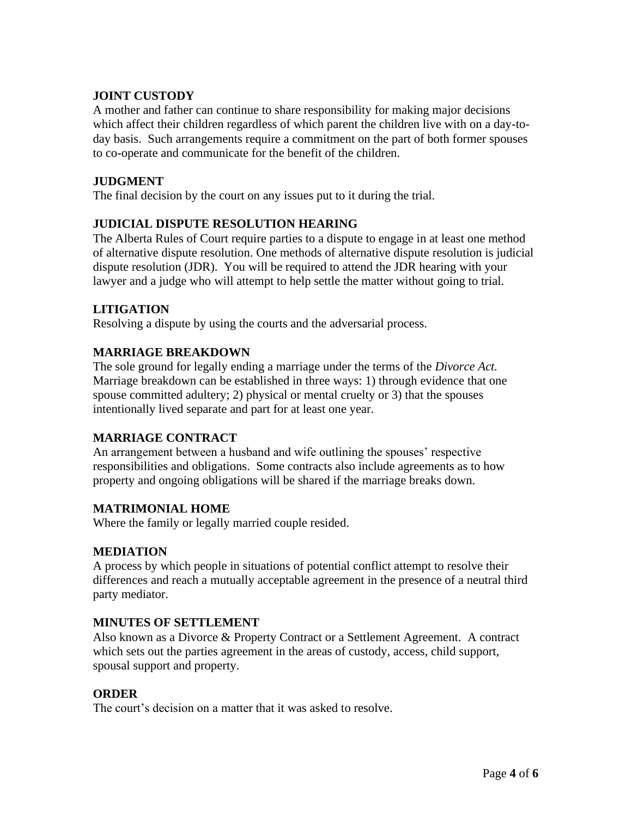## **JOINT CUSTODY**

A mother and father can continue to share responsibility for making major decisions which affect their children regardless of which parent the children live with on a day-today basis. Such arrangements require a commitment on the part of both former spouses to co-operate and communicate for the benefit of the children.

### **JUDGMENT**

The final decision by the court on any issues put to it during the trial.

## **JUDICIAL DISPUTE RESOLUTION HEARING**

The Alberta Rules of Court require parties to a dispute to engage in at least one method of alternative dispute resolution. One methods of alternative dispute resolution is judicial dispute resolution (JDR). You will be required to attend the JDR hearing with your lawyer and a judge who will attempt to help settle the matter without going to trial.

### **LITIGATION**

Resolving a dispute by using the courts and the adversarial process.

### **MARRIAGE BREAKDOWN**

The sole ground for legally ending a marriage under the terms of the *Divorce Act.*  Marriage breakdown can be established in three ways: 1) through evidence that one spouse committed adultery; 2) physical or mental cruelty or 3) that the spouses intentionally lived separate and part for at least one year.

### **MARRIAGE CONTRACT**

An arrangement between a husband and wife outlining the spouses' respective responsibilities and obligations. Some contracts also include agreements as to how property and ongoing obligations will be shared if the marriage breaks down.

### **MATRIMONIAL HOME**

Where the family or legally married couple resided.

### **MEDIATION**

A process by which people in situations of potential conflict attempt to resolve their differences and reach a mutually acceptable agreement in the presence of a neutral third party mediator.

### **MINUTES OF SETTLEMENT**

Also known as a Divorce & Property Contract or a Settlement Agreement. A contract which sets out the parties agreement in the areas of custody, access, child support, spousal support and property.

### **ORDER**

The court's decision on a matter that it was asked to resolve.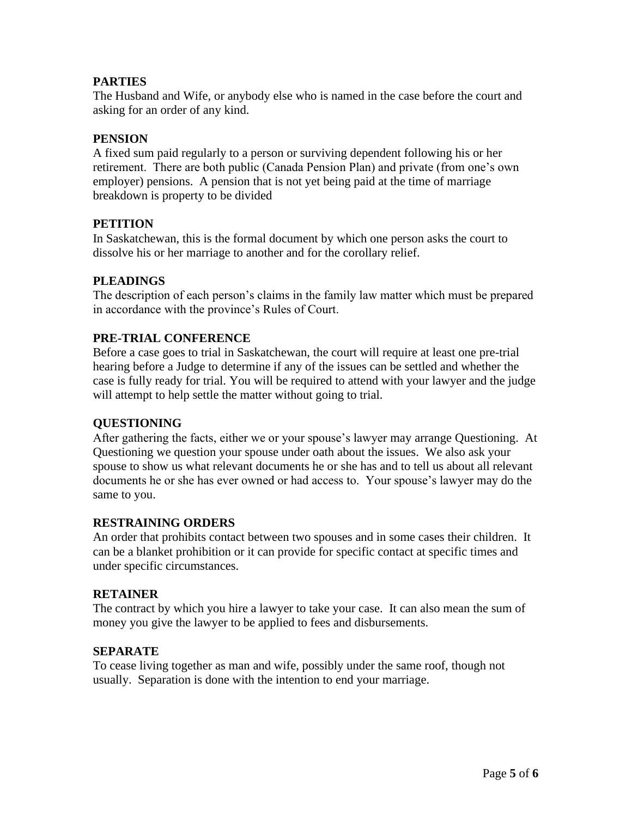## **PARTIES**

The Husband and Wife, or anybody else who is named in the case before the court and asking for an order of any kind.

## **PENSION**

A fixed sum paid regularly to a person or surviving dependent following his or her retirement. There are both public (Canada Pension Plan) and private (from one's own employer) pensions. A pension that is not yet being paid at the time of marriage breakdown is property to be divided

### **PETITION**

In Saskatchewan, this is the formal document by which one person asks the court to dissolve his or her marriage to another and for the corollary relief.

### **PLEADINGS**

The description of each person's claims in the family law matter which must be prepared in accordance with the province's Rules of Court.

### **PRE-TRIAL CONFERENCE**

Before a case goes to trial in Saskatchewan, the court will require at least one pre-trial hearing before a Judge to determine if any of the issues can be settled and whether the case is fully ready for trial. You will be required to attend with your lawyer and the judge will attempt to help settle the matter without going to trial.

### **QUESTIONING**

After gathering the facts, either we or your spouse's lawyer may arrange Questioning. At Questioning we question your spouse under oath about the issues. We also ask your spouse to show us what relevant documents he or she has and to tell us about all relevant documents he or she has ever owned or had access to. Your spouse's lawyer may do the same to you.

### **RESTRAINING ORDERS**

An order that prohibits contact between two spouses and in some cases their children. It can be a blanket prohibition or it can provide for specific contact at specific times and under specific circumstances.

#### **RETAINER**

The contract by which you hire a lawyer to take your case. It can also mean the sum of money you give the lawyer to be applied to fees and disbursements.

#### **SEPARATE**

To cease living together as man and wife, possibly under the same roof, though not usually. Separation is done with the intention to end your marriage.